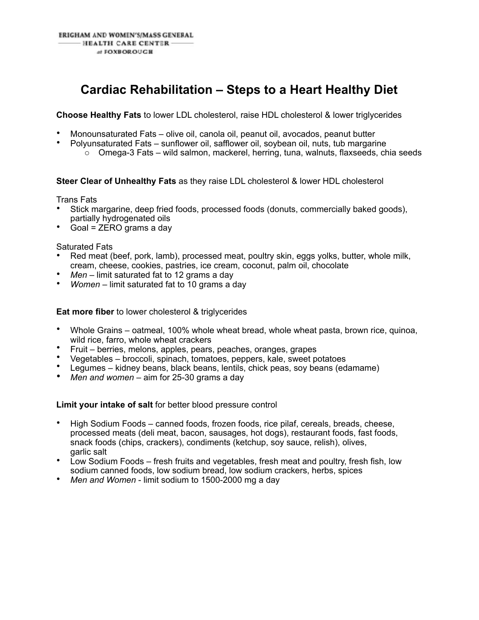## **Cardiac Rehabilitation – Steps to a Heart Healthy Diet**

**Choose Healthy Fats** to lower LDL cholesterol, raise HDL cholesterol & lower triglycerides

- Monounsaturated Fats olive oil, canola oil, peanut oil, avocados, peanut butter
	- Polyunsaturated Fats sunflower oil, safflower oil, soybean oil, nuts, tub margarine
		- $\circ$  Omega-3 Fats wild salmon, mackerel, herring, tuna, walnuts, flaxseeds, chia seeds

**Steer Clear of Unhealthy Fats** as they raise LDL cholesterol & lower HDL cholesterol

Trans Fats

- Stick margarine, deep fried foods, processed foods (donuts, commercially baked goods), partially hydrogenated oils
- Goal = ZERO grams a day

Saturated Fats

- Red meat (beef, pork, lamb), processed meat, poultry skin, eggs yolks, butter, whole milk, cream, cheese, cookies, pastries, ice cream, coconut, palm oil, chocolate
- *Men* limit saturated fat to 12 grams a day
- *Women* limit saturated fat to 10 grams a day

**Eat more fiber** to lower cholesterol & triglycerides

- Whole Grains oatmeal, 100% whole wheat bread, whole wheat pasta, brown rice, quinoa, wild rice, farro, whole wheat crackers
- Fruit berries, melons, apples, pears, peaches, oranges, grapes
- Vegetables broccoli, spinach, tomatoes, peppers, kale, sweet potatoes
- Legumes kidney beans, black beans, lentils, chick peas, soy beans (edamame)
- *Men and women* aim for 25-30 grams a day

**Limit your intake of salt** for better blood pressure control

- High Sodium Foods canned foods, frozen foods, rice pilaf, cereals, breads, cheese, processed meats (deli meat, bacon, sausages, hot dogs), restaurant foods, fast foods, snack foods (chips, crackers), condiments (ketchup, soy sauce, relish), olives, garlic salt
- Low Sodium Foods fresh fruits and vegetables, fresh meat and poultry, fresh fish, low sodium canned foods, low sodium bread, low sodium crackers, herbs, spices
- *Men and Women* limit sodium to 1500-2000 mg a day